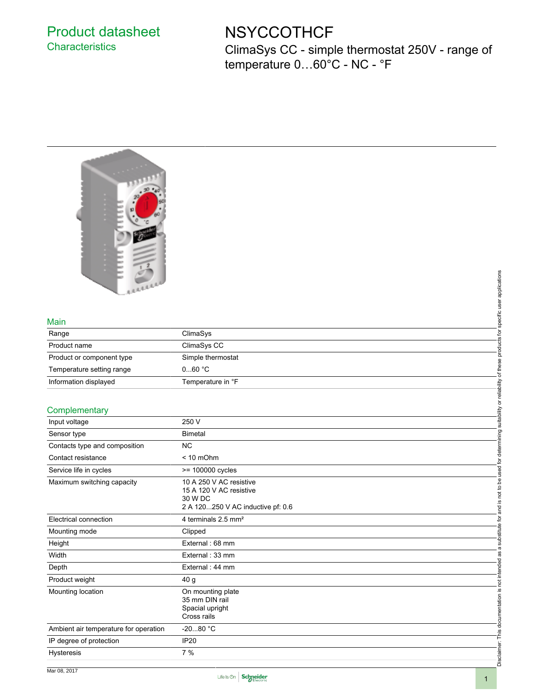## Product datasheet **Characteristics**

# **NSYCCOTHCF**

ClimaSys CC - simple thermostat 250V - range of temperature 0…60°C - NC - °F



#### Main

| <b>REALLY</b>             |                   | applications<br>pecific |
|---------------------------|-------------------|-------------------------|
| Main                      |                   |                         |
| Range                     | ClimaSys          | 호                       |
| Product name              | ClimaSys CC       | ಕ<br>▿                  |
| Product or component type | Simple thermostat |                         |
| Temperature setting range | 060 °C            |                         |
| Information displayed     | Temperature in °F | eliability              |
|                           |                   | $\circ$                 |
| Complementary             |                   |                         |
| Input voltage             | 250 V             | suitability             |

### **Complementary**

| <b>ALLEL</b>                          |                                   |                                                                           |
|---------------------------------------|-----------------------------------|---------------------------------------------------------------------------|
|                                       |                                   |                                                                           |
|                                       |                                   | specific user applications                                                |
| Main                                  |                                   |                                                                           |
| Range                                 | ClimaSys                          |                                                                           |
| Product name                          | ClimaSys CC                       | products for                                                              |
| Product or component type             | Simple thermostat                 |                                                                           |
| Temperature setting range             | 060 °C                            |                                                                           |
| Information displayed                 | Temperature in °F                 |                                                                           |
|                                       |                                   |                                                                           |
| Complementary                         |                                   |                                                                           |
| Input voltage                         | 250 V                             |                                                                           |
| Sensor type                           | <b>Bimetal</b>                    |                                                                           |
| Contacts type and composition         | <b>NC</b>                         |                                                                           |
| Contact resistance                    | $< 10$ mOhm                       |                                                                           |
| Service life in cycles                | >= 100000 cycles                  | and is not to be used for determining suitability or reliability of these |
| Maximum switching capacity            | 10 A 250 V AC resistive           |                                                                           |
|                                       | 15 A 120 V AC resistive           |                                                                           |
|                                       | 30 W DC                           |                                                                           |
|                                       | 2 A 120250 V AC inductive pf: 0.6 |                                                                           |
| Electrical connection                 | 4 terminals 2.5 mm <sup>2</sup>   | a substitute for                                                          |
| Mounting mode                         | Clipped                           |                                                                           |
| Height                                | External: 68 mm                   |                                                                           |
| Width                                 | External: 33 mm                   |                                                                           |
| Depth                                 | External: 44 mm                   |                                                                           |
| Product weight                        | 40 <sub>g</sub>                   | not intended as                                                           |
| Mounting location                     | On mounting plate                 |                                                                           |
|                                       | 35 mm DIN rail                    |                                                                           |
|                                       | Spacial upright<br>Cross rails    |                                                                           |
| Ambient air temperature for operation | $-2080 °C$                        |                                                                           |
| IP degree of protection               | <b>IP20</b>                       | Disclaimer: This documentation is                                         |
| Hysteresis                            | 7%                                |                                                                           |
|                                       |                                   |                                                                           |